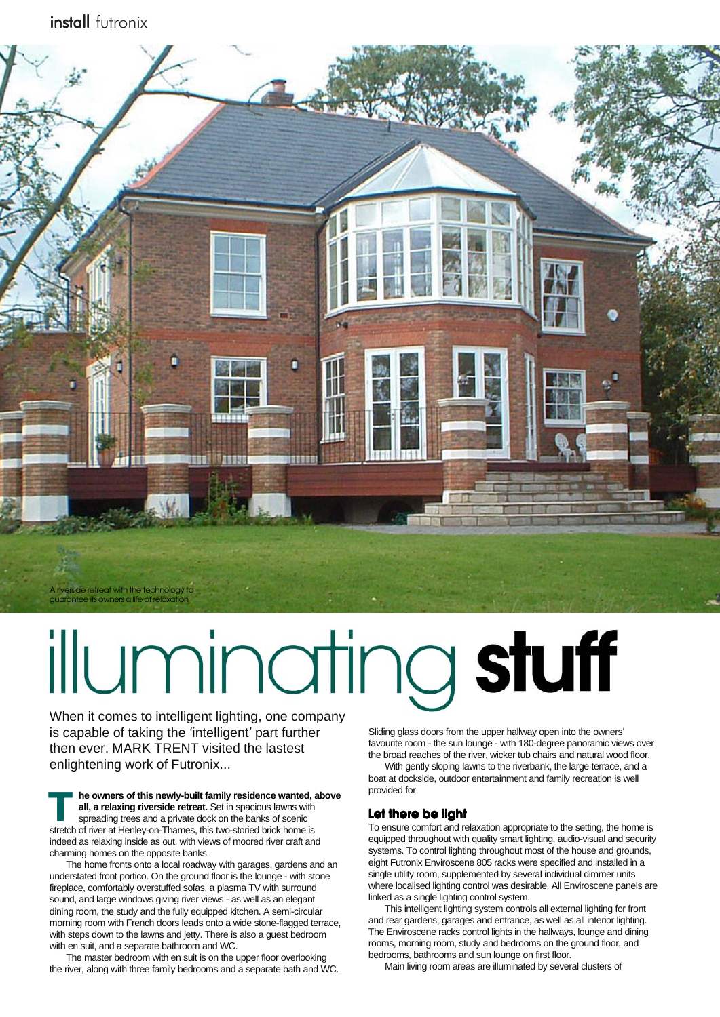install futronix



# illuminating stuff

When it comes to intelligent lighting, one company is capable of taking the 'intelligent' part further then ever. MARK TRENT visited the lastest enlightening work of Futronix...

**he owners of this newly-built family residence wanted, above all, a relaxing riverside retreat.** Set in spacious lawns with spreading trees and a private dock on the banks of scenic **ke owners of this newly-built family residence wanted, all, a relaxing riverside retreat.** Set in spacious lawns with spreading trees and a private dock on the banks of scenic stretch of river at Henley-on-Thames, this tw indeed as relaxing inside as out, with views of moored river craft and charming homes on the opposite banks.

The home fronts onto a local roadway with garages, gardens and an understated front portico. On the ground floor is the lounge - with stone fireplace, comfortably overstuffed sofas, a plasma TV with surround sound, and large windows giving river views - as well as an elegant dining room, the study and the fully equipped kitchen. A semi-circular morning room with French doors leads onto a wide stone-flagged terrace, with steps down to the lawns and jetty. There is also a guest bedroom with en suit, and a separate bathroom and WC.

The master bedroom with en suit is on the upper floor overlooking the river, along with three family bedrooms and a separate bath and WC.

Sliding glass doors from the upper hallway open into the owners' favourite room - the sun lounge - with 180-degree panoramic views over the broad reaches of the river, wicker tub chairs and natural wood floor.

With gently sloping lawns to the riverbank, the large terrace, and a boat at dockside, outdoor entertainment and family recreation is well provided for.

### **Let there be light Let there be light**

To ensure comfort and relaxation appropriate to the setting, the home is equipped throughout with quality smart lighting, audio-visual and security systems. To control lighting throughout most of the house and grounds, eight Futronix Enviroscene 805 racks were specified and installed in a single utility room, supplemented by several individual dimmer units where localised lighting control was desirable. All Enviroscene panels are linked as a single lighting control system.

This intelligent lighting system controls all external lighting for front and rear gardens, garages and entrance, as well as all interior lighting. The Enviroscene racks control lights in the hallways, lounge and dining rooms, morning room, study and bedrooms on the ground floor, and bedrooms, bathrooms and sun lounge on first floor.

Main living room areas are illuminated by several clusters of